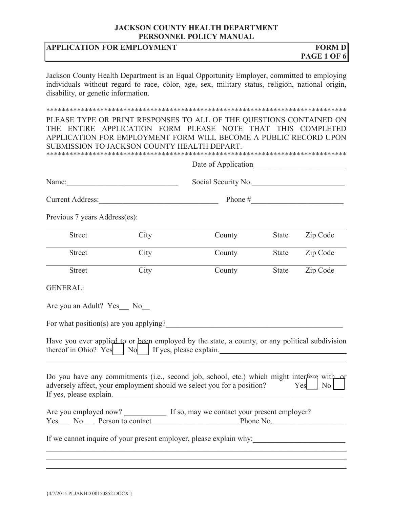# **APPLICATION FOR EMPLOYMENT** FORM D

Jackson County Health Department is an Equal Opportunity Employer, committed to employing individuals without regard to race, color, age, sex, military status, religion, national origin, disability, or genetic information.

#### \*\*\*\*\*\*\*\*\*\*\*\*\*\*\*\*\*\*\*\*\*\*\*\*\*\*\*\*\*\*\*\*\*\*\*\*\*\*\*\*\*\*\*\*\*\*\*\*\*\*\*\*\*\*\*\*\*\*\*\*\*\*\*\*\*\*\*\*\*\*\*\*\*\*\*\*\*\*

PLEASE TYPE OR PRINT RESPONSES TO ALL OF THE QUESTIONS CONTAINED ON THE ENTIRE APPLICATION FORM PLEASE NOTE THAT THIS COMPLETED APPLICATION FOR EMPLOYMENT FORM WILL BECOME A PUBLIC RECORD UPON SUBMISSION TO JACKSON COUNTY HEALTH DEPART. \*\*\*\*\*\*\*\*\*\*\*\*\*\*\*\*\*\*\*\*\*\*\*\*\*\*\*\*\*\*\*\*\*\*\*\*\*\*\*\*\*\*\*\*\*\*\*\*\*\*\*\*\*\*\*\*\*\*\*\*\*\*\*\*\*\*\*\*\*\*\*\*\*\*\*\*\*\*

|                               |      | Date of Application                                                                                                                                                                             |              |                       |  |
|-------------------------------|------|-------------------------------------------------------------------------------------------------------------------------------------------------------------------------------------------------|--------------|-----------------------|--|
|                               |      | Social Security No.<br>Current Address:                                                                                                                                                         |              |                       |  |
|                               |      |                                                                                                                                                                                                 |              |                       |  |
| Previous 7 years Address(es): |      |                                                                                                                                                                                                 |              |                       |  |
| <b>Street</b>                 | City | County                                                                                                                                                                                          | State        | Zip Code              |  |
| <b>Street</b>                 | City | County                                                                                                                                                                                          | State        | Zip Code              |  |
| <b>Street</b>                 | City | County                                                                                                                                                                                          | <b>State</b> | Zip Code              |  |
| <b>GENERAL:</b>               |      |                                                                                                                                                                                                 |              |                       |  |
| Are you an Adult? Yes_ No     |      |                                                                                                                                                                                                 |              |                       |  |
|                               |      | For what position(s) are you applying?                                                                                                                                                          |              |                       |  |
|                               |      | Have you ever applied to or been employed by the state, a county, or any political subdivision<br>thereof in Ohio? Yes   No   If yes, please explain.                                           |              |                       |  |
|                               |      | Do you have any commitments (i.e., second job, school, etc.) which might interfere with or<br>adversely affect, your employment should we select you for a position?<br>If yes, please explain. |              | N <sub>o</sub><br>Yes |  |
|                               |      | Are you employed now? If so, may we contact your present employer?                                                                                                                              |              |                       |  |
|                               |      | If we cannot inquire of your present employer, please explain why:                                                                                                                              |              |                       |  |
|                               |      |                                                                                                                                                                                                 |              |                       |  |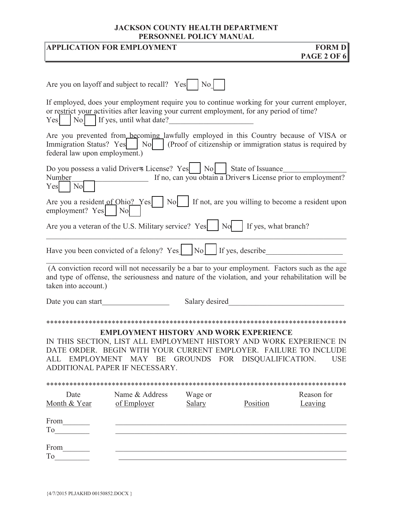**APPLICATION FOR EMPLOYMENT FORM D** 

|                                 |                                                                                                                                                                                                                                                                  |                             |          | <b>PAGE 2 OF 6</b>                                            |
|---------------------------------|------------------------------------------------------------------------------------------------------------------------------------------------------------------------------------------------------------------------------------------------------------------|-----------------------------|----------|---------------------------------------------------------------|
|                                 |                                                                                                                                                                                                                                                                  |                             |          |                                                               |
|                                 | Are you on layoff and subject to recall? Yes                                                                                                                                                                                                                     | $\overline{\phantom{a}}$ No |          |                                                               |
| Yes <sup> </sup>                | If employed, does your employment require you to continue working for your current employer,<br>or restrict your activities after leaving your current employment, for any period of time?<br>No If yes, until what date?                                        |                             |          |                                                               |
| federal law upon employment.)   | Are you prevented from becoming lawfully employed in this Country because of VISA or<br>Immigration Status? Yes   No   (Proof of citizenship or immigration status is required by                                                                                |                             |          |                                                               |
| Number<br>N <sub>o</sub><br>Yes | Do you possess a valid Driver + License? Yes   No   State of Issuance                                                                                                                                                                                            |                             |          | If no, can you obtain a Driver s License prior to employment? |
| employment? Yes                 | Are you a resident of Ohio? Yes $\vert$ No $\vert$ If not, are you willing to become a resident upon<br>N <sub>o</sub>                                                                                                                                           |                             |          |                                                               |
|                                 |                                                                                                                                                                                                                                                                  |                             |          |                                                               |
|                                 | Have you been convicted of a felony? Yes $\vert$ $\vert$ No $\vert$ If yes, describe                                                                                                                                                                             |                             |          |                                                               |
| taken into account.)            | (A conviction record will not necessarily be a bar to your employment. Factors such as the age<br>and type of offense, the seriousness and nature of the violation, and your rehabilitation will be                                                              |                             |          |                                                               |
| Date you can start              |                                                                                                                                                                                                                                                                  | Salary desired              |          |                                                               |
|                                 | PLOYMENT HISTORY AND WORK EX<br>IN THIS SECTION, LIST ALL EMPLOYMENT HISTORY AND WORK EXPERIENCE IN<br>DATE ORDER. BEGIN WITH YOUR CURRENT EMPLOYER. FAILURE TO INCLUDE<br>ALL EMPLOYMENT MAY BE GROUNDS FOR DISQUALIFICATION.<br>ADDITIONAL PAPER IF NECESSARY. |                             |          | <b>USE</b>                                                    |
|                                 |                                                                                                                                                                                                                                                                  |                             |          |                                                               |
| Date<br>Month & Year            | Name & Address<br>of Employer                                                                                                                                                                                                                                    | Wage or<br><b>Salary</b>    | Position | Reason for<br>Leaving                                         |
| From________                    |                                                                                                                                                                                                                                                                  |                             |          |                                                               |
| From_______                     |                                                                                                                                                                                                                                                                  |                             |          |                                                               |
|                                 |                                                                                                                                                                                                                                                                  |                             |          |                                                               |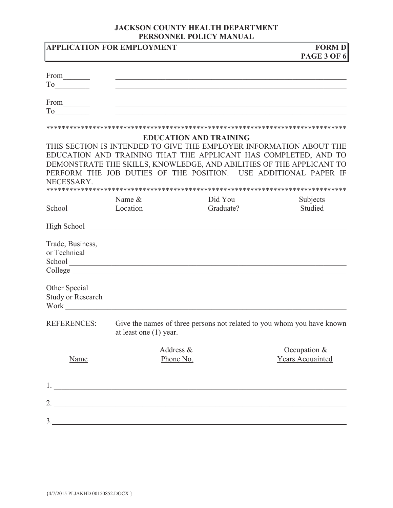|                                           | <b>APPLICATION FOR EMPLOYMENT</b>                                                                                                                                                                                                                                                                                      |                               | <b>FORM D</b><br><b>PAGE 3 OF 6</b>                                                                                                                                                                                                                                               |
|-------------------------------------------|------------------------------------------------------------------------------------------------------------------------------------------------------------------------------------------------------------------------------------------------------------------------------------------------------------------------|-------------------------------|-----------------------------------------------------------------------------------------------------------------------------------------------------------------------------------------------------------------------------------------------------------------------------------|
|                                           |                                                                                                                                                                                                                                                                                                                        |                               |                                                                                                                                                                                                                                                                                   |
|                                           |                                                                                                                                                                                                                                                                                                                        |                               |                                                                                                                                                                                                                                                                                   |
| From_________                             |                                                                                                                                                                                                                                                                                                                        |                               |                                                                                                                                                                                                                                                                                   |
|                                           |                                                                                                                                                                                                                                                                                                                        |                               |                                                                                                                                                                                                                                                                                   |
|                                           |                                                                                                                                                                                                                                                                                                                        |                               |                                                                                                                                                                                                                                                                                   |
| NECESSARY.                                |                                                                                                                                                                                                                                                                                                                        | <b>EDUCATION AND TRAINING</b> | THIS SECTION IS INTENDED TO GIVE THE EMPLOYER INFORMATION ABOUT THE<br>EDUCATION AND TRAINING THAT THE APPLICANT HAS COMPLETED, AND TO<br>DEMONSTRATE THE SKILLS, KNOWLEDGE, AND ABILITIES OF THE APPLICANT TO<br>PERFORM THE JOB DUTIES OF THE POSITION. USE ADDITIONAL PAPER IF |
|                                           | Name &                                                                                                                                                                                                                                                                                                                 | Did You                       | Subjects                                                                                                                                                                                                                                                                          |
| School                                    | Location                                                                                                                                                                                                                                                                                                               | Graduate?                     | Studied                                                                                                                                                                                                                                                                           |
|                                           | High School and the state of the state of the state of the state of the state of the state of the state of the                                                                                                                                                                                                         |                               |                                                                                                                                                                                                                                                                                   |
| Trade, Business,<br>or Technical          |                                                                                                                                                                                                                                                                                                                        |                               |                                                                                                                                                                                                                                                                                   |
| Other Special<br><b>Study or Research</b> |                                                                                                                                                                                                                                                                                                                        |                               |                                                                                                                                                                                                                                                                                   |
| <b>REFERENCES:</b>                        | Give the names of three persons not related to you whom you have known<br>at least one $(1)$ year.                                                                                                                                                                                                                     |                               |                                                                                                                                                                                                                                                                                   |
| Name                                      | Address &<br>Phone No.                                                                                                                                                                                                                                                                                                 |                               | Occupation &<br>Years Acquainted                                                                                                                                                                                                                                                  |
|                                           | $1.$ $\overline{\phantom{a}}$                                                                                                                                                                                                                                                                                          |                               |                                                                                                                                                                                                                                                                                   |
|                                           |                                                                                                                                                                                                                                                                                                                        |                               |                                                                                                                                                                                                                                                                                   |
|                                           | 2. $\frac{1}{2}$ $\frac{1}{2}$ $\frac{1}{2}$ $\frac{1}{2}$ $\frac{1}{2}$ $\frac{1}{2}$ $\frac{1}{2}$ $\frac{1}{2}$ $\frac{1}{2}$ $\frac{1}{2}$ $\frac{1}{2}$ $\frac{1}{2}$ $\frac{1}{2}$ $\frac{1}{2}$ $\frac{1}{2}$ $\frac{1}{2}$ $\frac{1}{2}$ $\frac{1}{2}$ $\frac{1}{2}$ $\frac{1}{2}$ $\frac{1}{2}$ $\frac{1}{2}$ |                               |                                                                                                                                                                                                                                                                                   |
| 3.                                        |                                                                                                                                                                                                                                                                                                                        |                               |                                                                                                                                                                                                                                                                                   |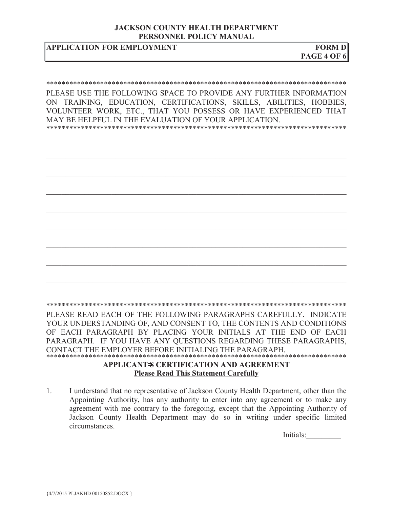## **APPLICATION FOR EMPLOYMENT FORM D**

### \*\*\*\*\*\*\*\*\*\*\*\*\*\*\*\*\*\*\*\*\*\*\*\*\*\*\*\*\*\*\*\*\*\*\*\*\*\*\*\*\*\*\*\*\*\*\*\*\*\*\*\*\*\*\*\*\*\*\*\*\*\*\*\*\*\*\*\*\*\*\*\*\*\*\*\*\*\*

PLEASE USE THE FOLLOWING SPACE TO PROVIDE ANY FURTHER INFORMATION ON TRAINING, EDUCATION, CERTIFICATIONS, SKILLS, ABILITIES, HOBBIES, VOLUNTEER WORK, ETC., THAT YOU POSSESS OR HAVE EXPERIENCED THAT MAY BE HELPFUL IN THE EVALUATION OF YOUR APPLICATION. \*\*\*\*\*\*\*\*\*\*\*\*\*\*\*\*\*\*\*\*\*\*\*\*\*\*\*\*\*\*\*\*\*\*\*\*\*\*\*\*\*\*\*\*\*\*\*\*\*\*\*\*\*\*\*\*\*\*\*\*\*\*\*\*\*\*\*\*\*\*\*\*\*\*\*\*\*\*

\*\*\*\*\*\*\*\*\*\*\*\*\*\*\*\*\*\*\*\*\*\*\*\*\*\*\*\*\*\*\*\*\*\*\*\*\*\*\*\*\*\*\*\*\*\*\*\*\*\*\*\*\*\*\*\*\*\*\*\*\*\*\*\*\*\*\*\*\*\*\*\*\*\*\*\*\*\*

 $\mathcal{L}_\mathcal{L} = \mathcal{L}_\mathcal{L} = \mathcal{L}_\mathcal{L} = \mathcal{L}_\mathcal{L} = \mathcal{L}_\mathcal{L} = \mathcal{L}_\mathcal{L} = \mathcal{L}_\mathcal{L} = \mathcal{L}_\mathcal{L} = \mathcal{L}_\mathcal{L} = \mathcal{L}_\mathcal{L} = \mathcal{L}_\mathcal{L} = \mathcal{L}_\mathcal{L} = \mathcal{L}_\mathcal{L} = \mathcal{L}_\mathcal{L} = \mathcal{L}_\mathcal{L} = \mathcal{L}_\mathcal{L} = \mathcal{L}_\mathcal{L}$ 

PLEASE READ EACH OF THE FOLLOWING PARAGRAPHS CAREFULLY. INDICATE YOUR UNDERSTANDING OF, AND CONSENT TO, THE CONTENTS AND CONDITIONS OF EACH PARAGRAPH BY PLACING YOUR INITIALS AT THE END OF EACH PARAGRAPH. IF YOU HAVE ANY QUESTIONS REGARDING THESE PARAGRAPHS, CONTACT THE EMPLOYER BEFORE INITIALING THE PARAGRAPH.

### \*\*\*\*\*\*\*\*\*\*\*\*\*\*\*\*\*\*\*\*\*\*\*\*\*\*\*\*\*\*\*\*\*\*\*\*\*\*\*\*\*\*\*\*\*\*\*\*\*\*\*\*\*\*\*\*\*\*\*\*\*\*\*\*\*\*\*\*\*\*\*\*\*\*\*\*\*\* **APPLICANT**=**S CERTIFICATION AND AGREEMENT Please Read This Statement Carefully**

1. I understand that no representative of Jackson County Health Department, other than the Appointing Authority, has any authority to enter into any agreement or to make any agreement with me contrary to the foregoing, except that the Appointing Authority of Jackson County Health Department may do so in writing under specific limited circumstances.

Initials: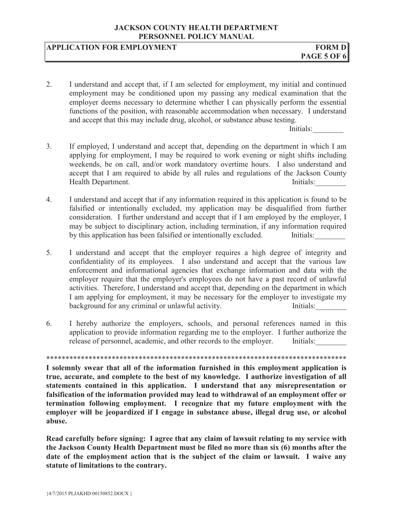# **APPLICATION FOR EMPLOYMENT** FORM D

2. I understand and accept that, if I am selected for employment, my initial and continued employment may be conditioned upon my passing any medical examination that the employer deems necessary to determine whether I can physically perform the essential functions of the position, with reasonable accommodation when necessary. I understand and accept that this may include drug, alcohol, or substance abuse testing.

Initials:

- 3. If employed, I understand and accept that, depending on the department in which I am applying for employment, I may be required to work evening or night shifts including weekends, be on call, and/or work mandatory overtime hours. I also understand and accept that I am required to abide by all rules and regulations of the Jackson County Health Department. Initials:
- 4. I understand and accept that if any information required in this application is found to be falsified or intentionally excluded, my application may be disqualified from further consideration. I further understand and accept that if I am employed by the employer, I may be subject to disciplinary action, including termination, if any information required by this application has been falsified or intentionally excluded. Initials:
- 5. I understand and accept that the employer requires a high degree of integrity and confidentiality of its employees. I also understand and accept that the various law enforcement and informational agencies that exchange information and data with the employer require that the employer's employees do not have a past record of unlawful activities. Therefore, I understand and accept that, depending on the department in which I am applying for employment, it may be necessary for the employer to investigate my background for any criminal or unlawful activity. Initials:
- 6. I hereby authorize the employers, schools, and personal references named in this application to provide information regarding me to the employer. I further authorize the release of personnel, academic, and other records to the employer. Initials:

\*\*\*\*\*\*\*\*\*\*\*\*\*\*\*\*\*\*\*\*\*\*\*\*\*\*\*\*\*\*\*\*\*\*\*\*\*\*\*\*\*\*\*\*\*\*\*\*\*\*\*\*\*\*\*\*\*\*\*\*\*\*\*\*\*\*\*\*\*\*\*\*\*\*\*\*\*\* **I solemnly swear that all of the information furnished in this employment application is true, accurate, and complete to the best of my knowledge. I authorize investigation of all statements contained in this application. I understand that any misrepresentation or falsification of the information provided may lead to withdrawal of an employment offer or termination following employment. I recognize that my future employment with the employer will be jeopardized if I engage in substance abuse, illegal drug use, or alcohol abuse.**

**Read carefully before signing: I agree that any claim of lawsuit relating to my service with the Jackson County Health Department must be filed no more than six (6) months after the date of the employment action that is the subject of the claim or lawsuit. I waive any statute of limitations to the contrary.**